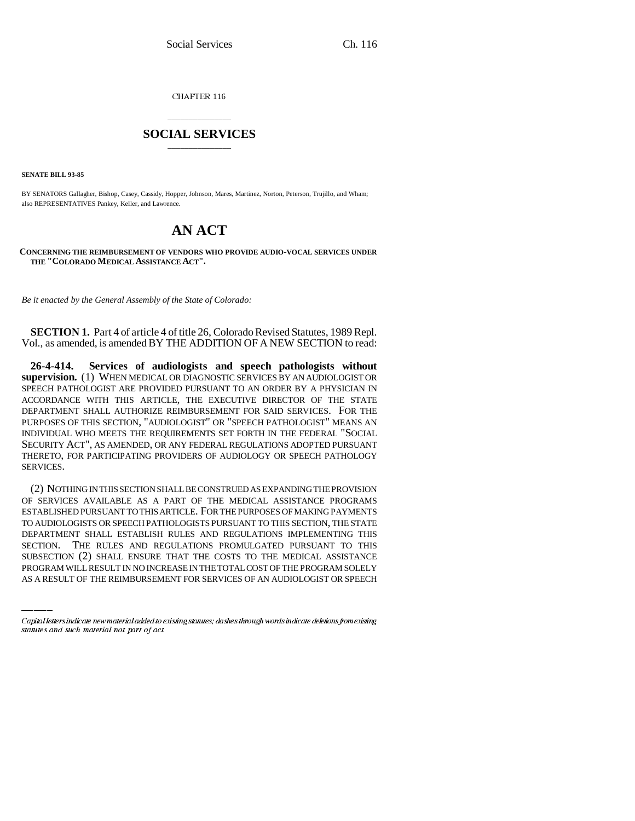CHAPTER 116

## \_\_\_\_\_\_\_\_\_\_\_\_\_\_\_ **SOCIAL SERVICES** \_\_\_\_\_\_\_\_\_\_\_\_\_\_\_

**SENATE BILL 93-85**

BY SENATORS Gallagher, Bishop, Casey, Cassidy, Hopper, Johnson, Mares, Martinez, Norton, Peterson, Trujillo, and Wham; also REPRESENTATIVES Pankey, Keller, and Lawrence.

# **AN ACT**

**CONCERNING THE REIMBURSEMENT OF VENDORS WHO PROVIDE AUDIO-VOCAL SERVICES UNDER THE "COLORADO MEDICAL ASSISTANCE ACT".**

*Be it enacted by the General Assembly of the State of Colorado:*

**SECTION 1.** Part 4 of article 4 of title 26, Colorado Revised Statutes, 1989 Repl. Vol., as amended, is amended BY THE ADDITION OF A NEW SECTION to read:

**26-4-414. Services of audiologists and speech pathologists without supervision.** (1) WHEN MEDICAL OR DIAGNOSTIC SERVICES BY AN AUDIOLOGIST OR SPEECH PATHOLOGIST ARE PROVIDED PURSUANT TO AN ORDER BY A PHYSICIAN IN ACCORDANCE WITH THIS ARTICLE, THE EXECUTIVE DIRECTOR OF THE STATE DEPARTMENT SHALL AUTHORIZE REIMBURSEMENT FOR SAID SERVICES. FOR THE PURPOSES OF THIS SECTION, "AUDIOLOGIST" OR "SPEECH PATHOLOGIST" MEANS AN INDIVIDUAL WHO MEETS THE REQUIREMENTS SET FORTH IN THE FEDERAL "SOCIAL SECURITY ACT", AS AMENDED, OR ANY FEDERAL REGULATIONS ADOPTED PURSUANT THERETO, FOR PARTICIPATING PROVIDERS OF AUDIOLOGY OR SPEECH PATHOLOGY SERVICES.

DEPARTMENT SHALL ESTABLISH RULES AND REGULATIONS IMPLEMENTING THIS (2) NOTHING IN THIS SECTION SHALL BE CONSTRUED AS EXPANDING THE PROVISION OF SERVICES AVAILABLE AS A PART OF THE MEDICAL ASSISTANCE PROGRAMS ESTABLISHED PURSUANT TO THIS ARTICLE. FOR THE PURPOSES OF MAKING PAYMENTS TO AUDIOLOGISTS OR SPEECH PATHOLOGISTS PURSUANT TO THIS SECTION, THE STATE SECTION. THE RULES AND REGULATIONS PROMULGATED PURSUANT TO THIS SUBSECTION (2) SHALL ENSURE THAT THE COSTS TO THE MEDICAL ASSISTANCE PROGRAM WILL RESULT IN NO INCREASE IN THE TOTAL COST OF THE PROGRAM SOLELY AS A RESULT OF THE REIMBURSEMENT FOR SERVICES OF AN AUDIOLOGIST OR SPEECH

Capital letters indicate new material added to existing statutes; dashes through words indicate deletions from existing statutes and such material not part of act.